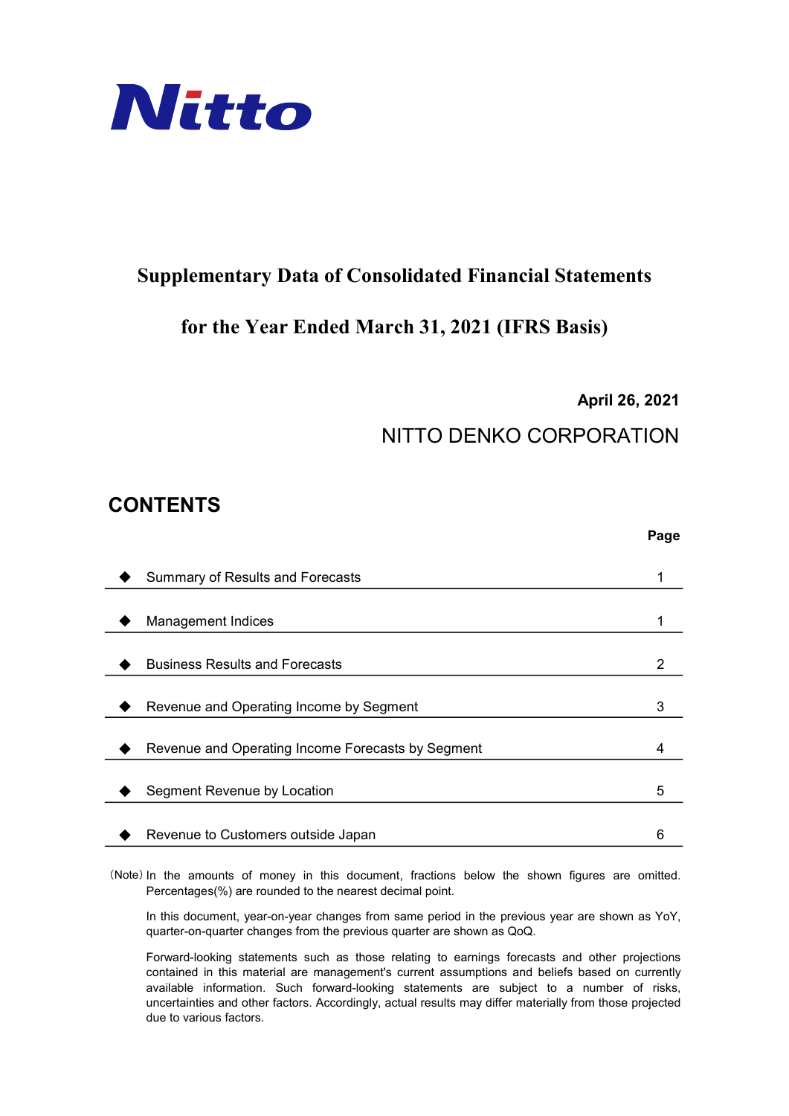

### Supplementary Data of Consolidated Financial Statements

### for the Year Ended March 31, 2021 (IFRS Basis)

April 26, 2021

Page

## NITTO DENKO CORPORATION

### CONTENTS

| Summary of Results and Forecasts                  |   |
|---------------------------------------------------|---|
|                                                   |   |
| <b>Management Indices</b>                         |   |
|                                                   |   |
| <b>Business Results and Forecasts</b>             |   |
|                                                   |   |
| Revenue and Operating Income by Segment           | 3 |
|                                                   |   |
| Revenue and Operating Income Forecasts by Segment |   |
|                                                   |   |
| Segment Revenue by Location                       | 5 |
|                                                   |   |
| Revenue to Customers outside Japan                |   |
|                                                   |   |

(Note) In the amounts of money in this document, fractions below the shown figures are omitted. Percentages(%) are rounded to the nearest decimal point.

In this document, year-on-year changes from same period in the previous year are shown as YoY, quarter-on-quarter changes from the previous quarter are shown as QoQ.

Forward-looking statements such as those relating to earnings forecasts and other projections contained in this material are management's current assumptions and beliefs based on currently available information. Such forward-looking statements are subject to a number of risks, uncertainties and other factors. Accordingly, actual results may differ materially from those projected due to various factors.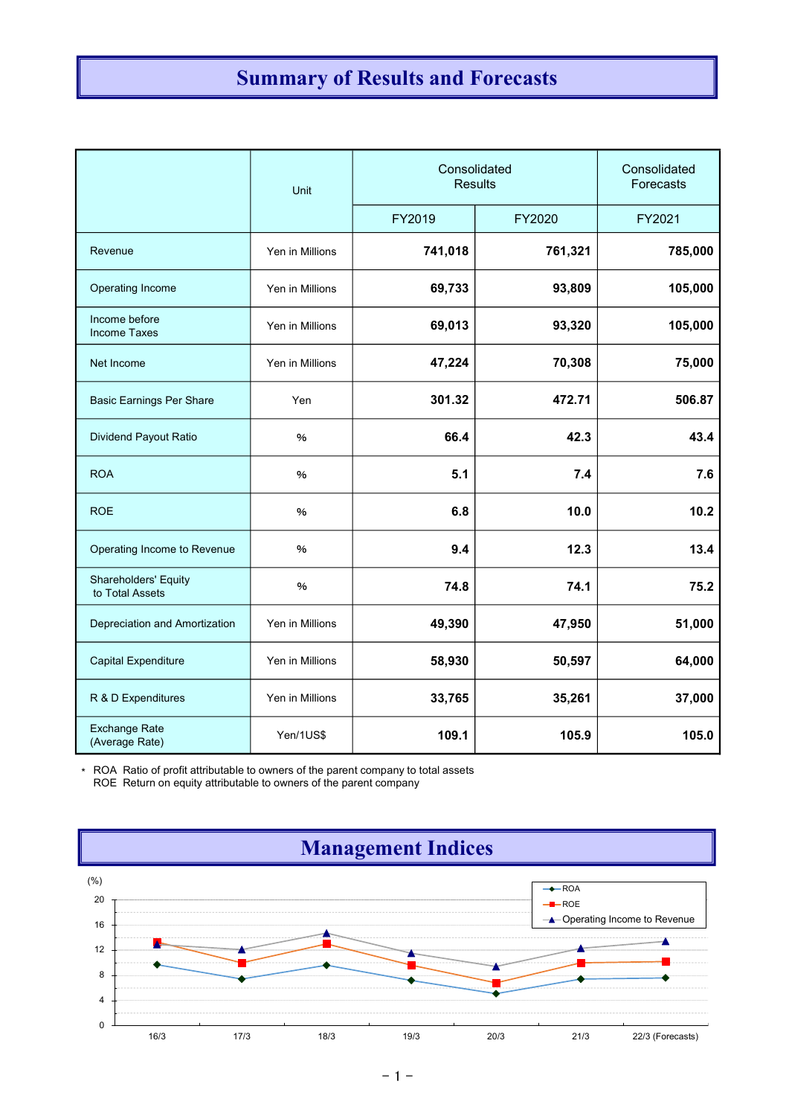# Summary of Results and Forecasts

|                                                                                                                                                         | Unit            | Consolidated<br><b>Results</b> |         | Consolidated<br>Forecasts |
|---------------------------------------------------------------------------------------------------------------------------------------------------------|-----------------|--------------------------------|---------|---------------------------|
|                                                                                                                                                         |                 | FY2019                         | FY2020  | FY2021                    |
| Revenue                                                                                                                                                 | Yen in Millions | 741,018                        | 761,321 | 785,000                   |
| Operating Income                                                                                                                                        | Yen in Millions | 69,733                         | 93,809  | 105,000                   |
| Income before<br><b>Income Taxes</b>                                                                                                                    | Yen in Millions | 69,013                         | 93,320  | 105,000                   |
| Net Income                                                                                                                                              | Yen in Millions | 47,224                         | 70,308  | 75,000                    |
| <b>Basic Earnings Per Share</b>                                                                                                                         | Yen             | 301.32                         | 472.71  | 506.87                    |
| Dividend Payout Ratio                                                                                                                                   | $\%$            | 66.4                           | 42.3    | 43.4                      |
| <b>ROA</b>                                                                                                                                              | $\%$            | 5.1                            | 7.4     | 7.6                       |
| <b>ROE</b>                                                                                                                                              | $\%$            | 6.8                            | 10.0    | 10.2                      |
| Operating Income to Revenue                                                                                                                             | %               | 9.4                            | 12.3    | 13.4                      |
| Shareholders' Equity<br>to Total Assets                                                                                                                 | $\%$            | 74.8                           | 74.1    | 75.2                      |
| Depreciation and Amortization                                                                                                                           | Yen in Millions | 49,390                         | 47,950  | 51,000                    |
| Capital Expenditure                                                                                                                                     | Yen in Millions | 58,930                         | 50,597  | 64,000                    |
| R & D Expenditures                                                                                                                                      | Yen in Millions | 33,765                         | 35,261  | 37,000                    |
| <b>Exchange Rate</b><br>(Average Rate)                                                                                                                  | Yen/1US\$       | 109.1                          | 105.9   | 105.0                     |
| * ROA Ratio of profit attributable to owners of the parent company to total assets<br>ROE Return on equity attributable to owners of the parent company |                 |                                |         |                           |
|                                                                                                                                                         |                 | <b>Management Indices</b>      |         |                           |

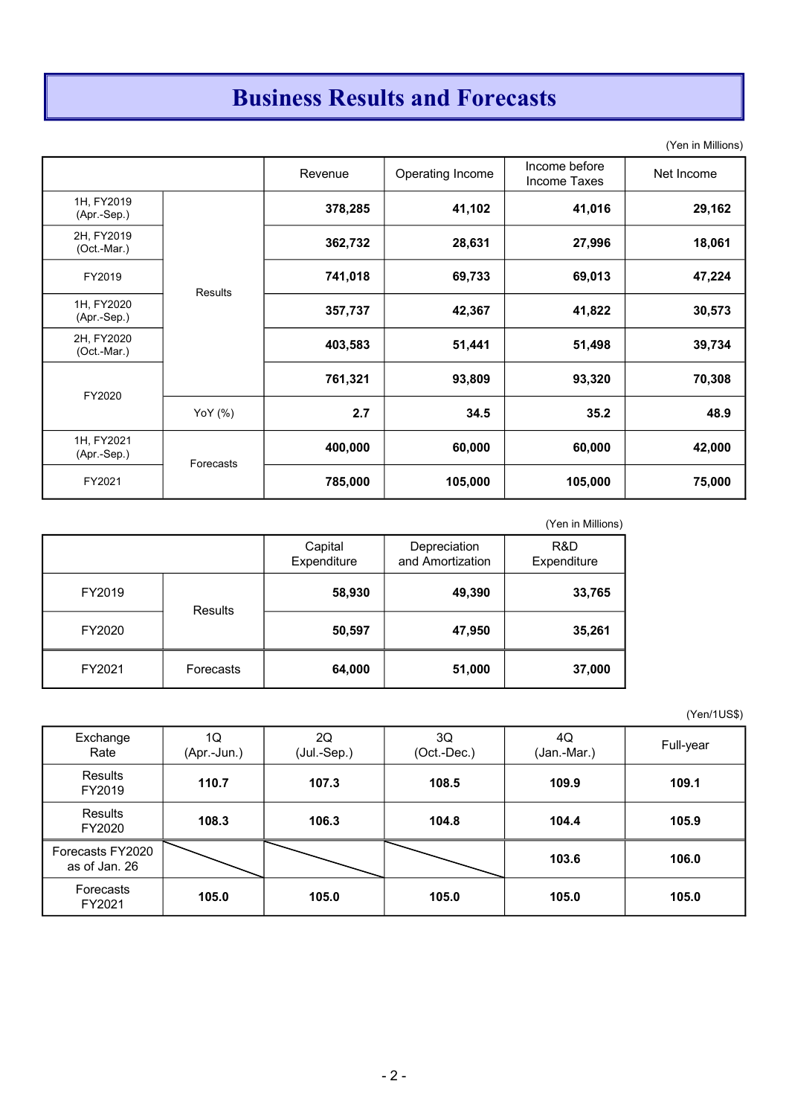# Business Results and Forecasts

(Yen in Millions)

|                             |                | Revenue | Operating Income | Income before<br>Income Taxes | Net Income |
|-----------------------------|----------------|---------|------------------|-------------------------------|------------|
| 1H, FY2019<br>(Apr.-Sep.)   |                | 378,285 | 41,102           | 41,016                        | 29,162     |
| 2H, FY2019<br>$(Oct.-Mar.)$ |                | 362,732 | 28,631           | 27,996                        | 18,061     |
| FY2019                      | <b>Results</b> | 741,018 | 69,733           | 69,013                        | 47,224     |
| 1H, FY2020<br>$(Apr.-Sep.)$ |                | 357,737 | 42,367           | 41,822                        | 30,573     |
| 2H, FY2020<br>(Oct.-Mar.)   |                | 403,583 | 51,441           | 51,498                        | 39,734     |
| FY2020                      |                | 761,321 | 93,809           | 93,320                        | 70,308     |
|                             | YoY $(%)$      | 2.7     | 34.5             | 35.2                          | 48.9       |
| 1H, FY2021<br>$(Apr.-Sep.)$ | Forecasts      | 400,000 | 60,000           | 60,000                        | 42,000     |
| FY2021                      |                | 785,000 | 105,000          | 105,000                       | 75,000     |

| (Yen in N |  |
|-----------|--|
|           |  |

|        |           |                        |                                  | (Yen in Millions)  |
|--------|-----------|------------------------|----------------------------------|--------------------|
|        |           | Capital<br>Expenditure | Depreciation<br>and Amortization | R&D<br>Expenditure |
| FY2019 | Results   | 58,930                 | 49,390                           | 33,765             |
| FY2020 |           | 50,597                 | 47,950                           | 35,261             |
| FY2021 | Forecasts | 64,000                 | 51,000                           | 37,000             |

#### (Yen/1US\$)

| Exchange<br>Rate                  | 1Q<br>(Apr.-Jun.) | 2Q<br>(Jul.-Sep.) | 3Q<br>(Oct.-Dec.) | 4Q<br>(Jan.-Mar.) | Full-year |
|-----------------------------------|-------------------|-------------------|-------------------|-------------------|-----------|
| <b>Results</b><br>FY2019          | 110.7             | 107.3             | 108.5             | 109.9             | 109.1     |
| Results<br>FY2020                 | 108.3             | 106.3             | 104.8             | 104.4             | 105.9     |
| Forecasts FY2020<br>as of Jan. 26 |                   |                   |                   | 103.6             | 106.0     |
| Forecasts<br>FY2021               | 105.0             | 105.0             | 105.0             | 105.0             | 105.0     |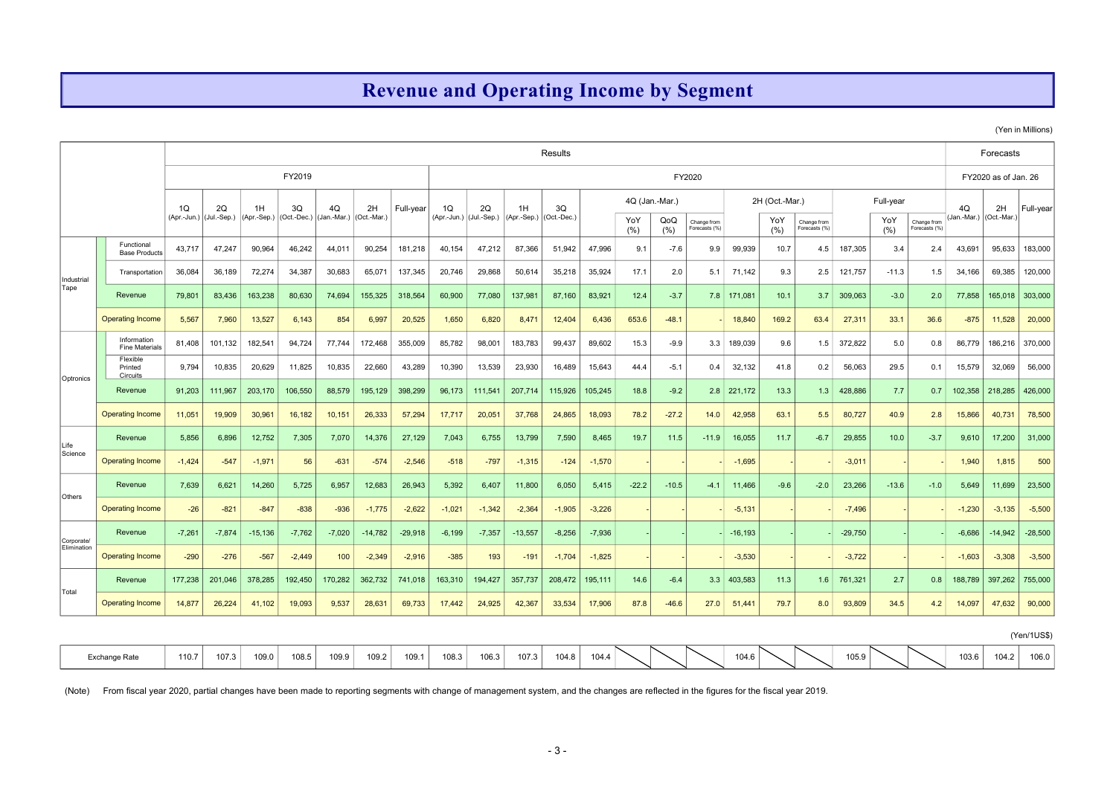### Revenue and Operating Income by Segment

(Yen in Millions)

| Results<br>Forecasts<br>FY2019<br>FY2020<br>FY2020 as of Jan. 26<br>4Q (Jan.-Mar.)<br>Full-year<br>2H (Oct.-Mar.)<br>1Q<br>4Q<br>1Q<br>2Q<br>1H<br>3Q<br>4Q<br>2H<br>Full-year<br>2Q<br>1H<br>3Q<br>2H<br>Full-vear<br>(Jul.-Sep.)<br>(Apr.-Sep.) (Oct.-Dec.)<br>(Jan.-Mar.)<br>(Oct.-Mar.)<br>(Apr.-Jun.) (Jul.-Sep.)<br>(Apr.-Sep.) (Oct.-Dec.)<br>(Jan.-Mar.)<br>$ $ (Oct.-Mar.)<br>(Apr.-Jun.)<br>YoY<br>QoQ<br>YoY<br>YoY<br>Change from<br>Change from<br>Change from<br>(%)<br>(%)<br>Forecasts (%)<br>(%)<br>Forecasts (%)<br>Forecasts (%)<br>(% )<br>Functional<br>43,717<br>47,247<br>90,964<br>46,242<br>44,011<br>90,254<br>181,218<br>40,154<br>87,366<br>47,996<br>99,939<br>187,305<br>2.4<br>43,691<br>183,000<br>47,212<br>51,942<br>9.1<br>$-7.6$<br>9.9<br>10.7<br>4.5<br>3.4<br>95,633<br><b>Base Products</b><br>36,084<br>36,189<br>72,274<br>34,387<br>30,683<br>65,071<br>137,345<br>20,746<br>29,868<br>50,614<br>35,218<br>35,924<br>17.1<br>71,142<br>9.3<br>121,757<br>$-11.3$<br>1.5<br>34,166<br>69,385<br>120,000<br>Transportation<br>2.0<br>5.1<br>2.5<br>Industrial<br>Tape<br>Revenue<br>79,801<br>83,436<br>163,238<br>80,630<br>74,694<br>155,325<br>318,564<br>60,900<br>77,080<br>137,981<br>87,160<br>83,921<br>12.4<br>$-3.7$<br>7.8<br>171,081<br>10.1<br>3.7<br>309,063<br>$-3.0$<br>2.0<br>77,858<br>165,018 303,000<br><b>Operating Income</b><br>7,960<br>13,527<br>6,143<br>854<br>20,525<br>1,650<br>6,820<br>8,471<br>6,436<br>653.6<br>$-48.1$<br>18,840<br>169.2<br>27,311<br>33.1<br>11,528<br>20,000<br>5,567<br>6,997<br>12,404<br>63.4<br>36.6<br>$-875$<br>Information<br>101,132<br>182,541<br>355,009<br>183,783<br>89,602<br>189,039<br>372,822<br>370,000<br>81,408<br>94,724<br>77,744<br>172,468<br>85,782<br>98,001<br>99,437<br>15.3<br>$-9.9$<br>3.3<br>9.6<br>5.0<br>0.8<br>86,779<br>186,216<br>1.5<br><b>Fine Materials</b><br>Flexible<br>9,794<br>10,835<br>20,629<br>11,825<br>10,835<br>22,660<br>43,289<br>10,390<br>13,539<br>23,930<br>15,643<br>56,063<br>15,579<br>32,069<br>56,000<br>16,489<br>44.4<br>32,132<br>41.8<br>0.2<br>29.5<br>0.1<br>$-5.1$<br>0.4<br>Printed<br>Circuits<br>Optronics |                         |          |          |           |          |          |           |           |          |          |           |          |          |         |         |         |            |        |        |           |         |        |          |                 |             |
|----------------------------------------------------------------------------------------------------------------------------------------------------------------------------------------------------------------------------------------------------------------------------------------------------------------------------------------------------------------------------------------------------------------------------------------------------------------------------------------------------------------------------------------------------------------------------------------------------------------------------------------------------------------------------------------------------------------------------------------------------------------------------------------------------------------------------------------------------------------------------------------------------------------------------------------------------------------------------------------------------------------------------------------------------------------------------------------------------------------------------------------------------------------------------------------------------------------------------------------------------------------------------------------------------------------------------------------------------------------------------------------------------------------------------------------------------------------------------------------------------------------------------------------------------------------------------------------------------------------------------------------------------------------------------------------------------------------------------------------------------------------------------------------------------------------------------------------------------------------------------------------------------------------------------------------------------------------------------------------------------------------------------------------------------------------------------------------------------------------------------------------------------------------------------------|-------------------------|----------|----------|-----------|----------|----------|-----------|-----------|----------|----------|-----------|----------|----------|---------|---------|---------|------------|--------|--------|-----------|---------|--------|----------|-----------------|-------------|
|                                                                                                                                                                                                                                                                                                                                                                                                                                                                                                                                                                                                                                                                                                                                                                                                                                                                                                                                                                                                                                                                                                                                                                                                                                                                                                                                                                                                                                                                                                                                                                                                                                                                                                                                                                                                                                                                                                                                                                                                                                                                                                                                                                                  |                         |          |          |           |          |          |           |           |          |          |           |          |          |         |         |         |            |        |        |           |         |        |          |                 |             |
|                                                                                                                                                                                                                                                                                                                                                                                                                                                                                                                                                                                                                                                                                                                                                                                                                                                                                                                                                                                                                                                                                                                                                                                                                                                                                                                                                                                                                                                                                                                                                                                                                                                                                                                                                                                                                                                                                                                                                                                                                                                                                                                                                                                  |                         |          |          |           |          |          |           |           |          |          |           |          |          |         |         |         |            |        |        |           |         |        |          |                 |             |
|                                                                                                                                                                                                                                                                                                                                                                                                                                                                                                                                                                                                                                                                                                                                                                                                                                                                                                                                                                                                                                                                                                                                                                                                                                                                                                                                                                                                                                                                                                                                                                                                                                                                                                                                                                                                                                                                                                                                                                                                                                                                                                                                                                                  |                         |          |          |           |          |          |           |           |          |          |           |          |          |         |         |         |            |        |        |           |         |        |          |                 |             |
|                                                                                                                                                                                                                                                                                                                                                                                                                                                                                                                                                                                                                                                                                                                                                                                                                                                                                                                                                                                                                                                                                                                                                                                                                                                                                                                                                                                                                                                                                                                                                                                                                                                                                                                                                                                                                                                                                                                                                                                                                                                                                                                                                                                  |                         |          |          |           |          |          |           |           |          |          |           |          |          |         |         |         |            |        |        |           |         |        |          |                 |             |
|                                                                                                                                                                                                                                                                                                                                                                                                                                                                                                                                                                                                                                                                                                                                                                                                                                                                                                                                                                                                                                                                                                                                                                                                                                                                                                                                                                                                                                                                                                                                                                                                                                                                                                                                                                                                                                                                                                                                                                                                                                                                                                                                                                                  |                         |          |          |           |          |          |           |           |          |          |           |          |          |         |         |         |            |        |        |           |         |        |          |                 |             |
|                                                                                                                                                                                                                                                                                                                                                                                                                                                                                                                                                                                                                                                                                                                                                                                                                                                                                                                                                                                                                                                                                                                                                                                                                                                                                                                                                                                                                                                                                                                                                                                                                                                                                                                                                                                                                                                                                                                                                                                                                                                                                                                                                                                  |                         |          |          |           |          |          |           |           |          |          |           |          |          |         |         |         |            |        |        |           |         |        |          |                 |             |
|                                                                                                                                                                                                                                                                                                                                                                                                                                                                                                                                                                                                                                                                                                                                                                                                                                                                                                                                                                                                                                                                                                                                                                                                                                                                                                                                                                                                                                                                                                                                                                                                                                                                                                                                                                                                                                                                                                                                                                                                                                                                                                                                                                                  |                         |          |          |           |          |          |           |           |          |          |           |          |          |         |         |         |            |        |        |           |         |        |          |                 |             |
|                                                                                                                                                                                                                                                                                                                                                                                                                                                                                                                                                                                                                                                                                                                                                                                                                                                                                                                                                                                                                                                                                                                                                                                                                                                                                                                                                                                                                                                                                                                                                                                                                                                                                                                                                                                                                                                                                                                                                                                                                                                                                                                                                                                  |                         |          |          |           |          |          |           |           |          |          |           |          |          |         |         |         |            |        |        |           |         |        |          |                 |             |
|                                                                                                                                                                                                                                                                                                                                                                                                                                                                                                                                                                                                                                                                                                                                                                                                                                                                                                                                                                                                                                                                                                                                                                                                                                                                                                                                                                                                                                                                                                                                                                                                                                                                                                                                                                                                                                                                                                                                                                                                                                                                                                                                                                                  |                         |          |          |           |          |          |           |           |          |          |           |          |          |         |         |         |            |        |        |           |         |        |          |                 |             |
|                                                                                                                                                                                                                                                                                                                                                                                                                                                                                                                                                                                                                                                                                                                                                                                                                                                                                                                                                                                                                                                                                                                                                                                                                                                                                                                                                                                                                                                                                                                                                                                                                                                                                                                                                                                                                                                                                                                                                                                                                                                                                                                                                                                  |                         |          |          |           |          |          |           |           |          |          |           |          |          |         |         |         |            |        |        |           |         |        |          |                 |             |
|                                                                                                                                                                                                                                                                                                                                                                                                                                                                                                                                                                                                                                                                                                                                                                                                                                                                                                                                                                                                                                                                                                                                                                                                                                                                                                                                                                                                                                                                                                                                                                                                                                                                                                                                                                                                                                                                                                                                                                                                                                                                                                                                                                                  | Revenue                 | 91,203   | 111,967  | 203,170   | 106,550  | 88,579   | 195,129   | 398,299   | 96,173   | 111,541  | 207,714   | 115,926  | 105,245  | 18.8    | $-9.2$  | 2.8     | 221,172    | 13.3   | 1.3    | 428,886   | 7.7     | 0.7    | 102,358  | 218,285         | 426,000     |
|                                                                                                                                                                                                                                                                                                                                                                                                                                                                                                                                                                                                                                                                                                                                                                                                                                                                                                                                                                                                                                                                                                                                                                                                                                                                                                                                                                                                                                                                                                                                                                                                                                                                                                                                                                                                                                                                                                                                                                                                                                                                                                                                                                                  | <b>Operating Income</b> | 11,051   | 19,909   | 30,961    | 16,182   | 10,151   | 26,333    | 57,294    | 17,717   | 20,051   | 37,768    | 24,865   | 18,093   | 78.2    | $-27.2$ | 14.0    | 42,958     | 63.1   | 5.5    | 80,727    | 40.9    | 2.8    | 15,866   | 40,731          | 78,500      |
| Life                                                                                                                                                                                                                                                                                                                                                                                                                                                                                                                                                                                                                                                                                                                                                                                                                                                                                                                                                                                                                                                                                                                                                                                                                                                                                                                                                                                                                                                                                                                                                                                                                                                                                                                                                                                                                                                                                                                                                                                                                                                                                                                                                                             | Revenue                 | 5,856    | 6,896    | 12,752    | 7,305    | 7,070    | 14,376    | 27,129    | 7,043    | 6,755    | 13,799    | 7,590    | 8,465    | 19.7    | 11.5    | $-11.9$ | 16,055     | 11.7   | $-6.7$ | 29,855    | 10.0    | $-3.7$ | 9,610    | 17,200          | 31,000      |
| Science                                                                                                                                                                                                                                                                                                                                                                                                                                                                                                                                                                                                                                                                                                                                                                                                                                                                                                                                                                                                                                                                                                                                                                                                                                                                                                                                                                                                                                                                                                                                                                                                                                                                                                                                                                                                                                                                                                                                                                                                                                                                                                                                                                          | <b>Operating Income</b> | $-1,424$ | $-547$   | $-1,971$  | 56       | $-631$   | $-574$    | $-2,546$  | $-518$   | $-797$   | $-1,315$  | $-124$   | $-1,570$ |         |         |         | $-1,695$   |        |        | $-3,011$  |         |        | 1,940    | 1,815           | 500         |
|                                                                                                                                                                                                                                                                                                                                                                                                                                                                                                                                                                                                                                                                                                                                                                                                                                                                                                                                                                                                                                                                                                                                                                                                                                                                                                                                                                                                                                                                                                                                                                                                                                                                                                                                                                                                                                                                                                                                                                                                                                                                                                                                                                                  | Revenue                 | 7,639    | 6,621    | 14,260    | 5,725    | 6,957    | 12,683    | 26,943    | 5,392    | 6,407    | 11,800    | 6,050    | 5,415    | $-22.2$ | $-10.5$ | $-4.1$  | 11,466     | $-9.6$ | $-2.0$ | 23,266    | $-13.6$ | $-1.0$ | 5,649    | 11,699          | 23,500      |
| Others                                                                                                                                                                                                                                                                                                                                                                                                                                                                                                                                                                                                                                                                                                                                                                                                                                                                                                                                                                                                                                                                                                                                                                                                                                                                                                                                                                                                                                                                                                                                                                                                                                                                                                                                                                                                                                                                                                                                                                                                                                                                                                                                                                           | <b>Operating Income</b> | $-26$    | $-821$   | $-847$    | $-838$   | $-936$   | $-1,775$  | $-2,622$  | $-1,021$ | $-1,342$ | $-2,364$  | $-1,905$ | $-3,226$ |         |         |         | $-5,131$   |        |        | $-7,496$  |         |        | $-1,230$ | $-3,135$        | $-5,500$    |
|                                                                                                                                                                                                                                                                                                                                                                                                                                                                                                                                                                                                                                                                                                                                                                                                                                                                                                                                                                                                                                                                                                                                                                                                                                                                                                                                                                                                                                                                                                                                                                                                                                                                                                                                                                                                                                                                                                                                                                                                                                                                                                                                                                                  | Revenue                 | $-7,261$ | $-7,874$ | $-15,136$ | $-7,762$ | $-7,020$ | $-14,782$ | $-29,918$ | $-6,199$ | $-7,357$ | $-13,557$ | $-8,256$ | $-7,936$ |         |         |         | $-16, 193$ |        |        | $-29,750$ |         |        | $-6.686$ | $-14.942$       | $-28,500$   |
| Corporate/<br>Elimination                                                                                                                                                                                                                                                                                                                                                                                                                                                                                                                                                                                                                                                                                                                                                                                                                                                                                                                                                                                                                                                                                                                                                                                                                                                                                                                                                                                                                                                                                                                                                                                                                                                                                                                                                                                                                                                                                                                                                                                                                                                                                                                                                        | <b>Operating Income</b> | $-290$   | $-276$   | $-567$    | $-2,449$ | 100      | $-2,349$  | $-2,916$  | $-385$   | 193      | $-191$    | $-1,704$ | $-1,825$ |         |         |         | $-3,530$   |        |        | $-3,722$  |         |        | $-1,603$ | $-3,308$        | $-3,500$    |
|                                                                                                                                                                                                                                                                                                                                                                                                                                                                                                                                                                                                                                                                                                                                                                                                                                                                                                                                                                                                                                                                                                                                                                                                                                                                                                                                                                                                                                                                                                                                                                                                                                                                                                                                                                                                                                                                                                                                                                                                                                                                                                                                                                                  | Revenue                 | 177,238  | 201,046  | 378,285   | 192,450  | 170,282  | 362,732   | 741,018   | 163,310  | 194,427  | 357,737   | 208,472  | 195,111  | 14.6    | $-6.4$  | 3.3     | 403,583    | 11.3   | 1.6    | 761,321   | 2.7     | 0.8    | 188,789  | 397,262 755,000 |             |
| Total                                                                                                                                                                                                                                                                                                                                                                                                                                                                                                                                                                                                                                                                                                                                                                                                                                                                                                                                                                                                                                                                                                                                                                                                                                                                                                                                                                                                                                                                                                                                                                                                                                                                                                                                                                                                                                                                                                                                                                                                                                                                                                                                                                            | <b>Operating Income</b> | 14,877   | 26,224   | 41,102    | 19,093   | 9,537    | 28,631    | 69,733    | 17,442   | 24,925   | 42,367    | 33,534   | 17,906   | 87.8    | $-46.6$ | 27.0    | 51,441     | 79.7   | 8.0    | 93,809    | 34.5    | 4.2    | 14,097   | 47,632          | 90,000      |
|                                                                                                                                                                                                                                                                                                                                                                                                                                                                                                                                                                                                                                                                                                                                                                                                                                                                                                                                                                                                                                                                                                                                                                                                                                                                                                                                                                                                                                                                                                                                                                                                                                                                                                                                                                                                                                                                                                                                                                                                                                                                                                                                                                                  |                         |          |          |           |          |          |           |           |          |          |           |          |          |         |         |         |            |        |        |           |         |        |          |                 |             |
|                                                                                                                                                                                                                                                                                                                                                                                                                                                                                                                                                                                                                                                                                                                                                                                                                                                                                                                                                                                                                                                                                                                                                                                                                                                                                                                                                                                                                                                                                                                                                                                                                                                                                                                                                                                                                                                                                                                                                                                                                                                                                                                                                                                  |                         |          |          |           |          |          |           |           |          |          |           |          |          |         |         |         |            |        |        |           |         |        |          |                 | (Yen/1US\$) |
|                                                                                                                                                                                                                                                                                                                                                                                                                                                                                                                                                                                                                                                                                                                                                                                                                                                                                                                                                                                                                                                                                                                                                                                                                                                                                                                                                                                                                                                                                                                                                                                                                                                                                                                                                                                                                                                                                                                                                                                                                                                                                                                                                                                  | Exchange Rate           | 110.7    | 107.3    | 109.0     | 108.5    | 109.9    | 109.2     | 109.1     | 108.3    | 106.3    | 107.3     | 104.8    | 104.4    |         |         |         | 104.6      |        |        | 105.9     |         |        | 103.6    | 104.2           | 106.0       |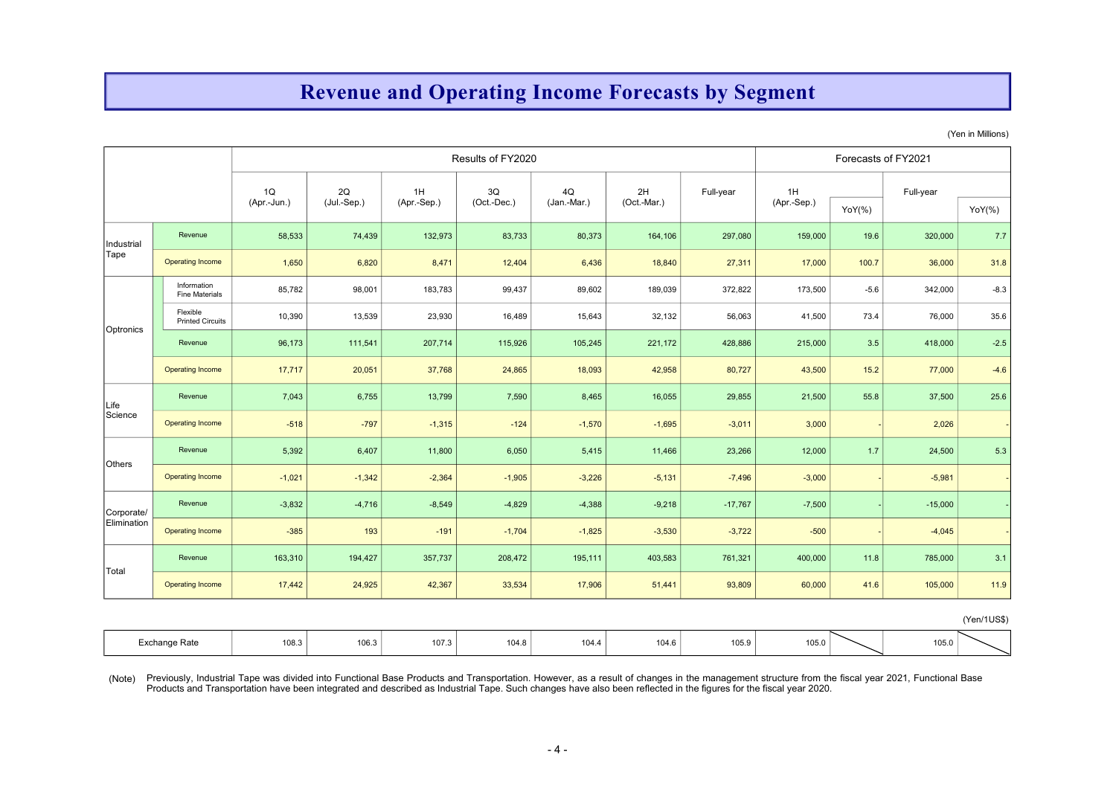# Revenue and Operating Income Forecasts by Segment

(Yen in Millions)

|             |                                      |                   |                   |                   | Results of FY2020 |                   |                   |                                                                                                                                                                                                                                                                                                                                                                       |                   | Forecasts of FY2021 |           |             |
|-------------|--------------------------------------|-------------------|-------------------|-------------------|-------------------|-------------------|-------------------|-----------------------------------------------------------------------------------------------------------------------------------------------------------------------------------------------------------------------------------------------------------------------------------------------------------------------------------------------------------------------|-------------------|---------------------|-----------|-------------|
|             |                                      | 1Q<br>(Apr.-Jun.) | 2Q<br>(Jul.-Sep.) | 1H<br>(Apr.-Sep.) | 3Q<br>(Oct.-Dec.) | 4Q<br>(Jan.-Mar.) | 2H<br>(Oct.-Mar.) | Full-year                                                                                                                                                                                                                                                                                                                                                             | 1H<br>(Apr.-Sep.) | $YoY(\% )$          | Full-year | $YoY(\% )$  |
| Industrial  | Revenue                              | 58,533            | 74,439            | 132,973           | 83,733            | 80,373            | 164,106           | 297,080                                                                                                                                                                                                                                                                                                                                                               | 159,000           | 19.6                | 320,000   | 7.7         |
| Tape        | <b>Operating Income</b>              | 1,650             | 6,820             | 8,471             | 12,404            | 6,436             | 18,840            | 27,311                                                                                                                                                                                                                                                                                                                                                                | 17,000            | 100.7               | 36,000    | 31.8        |
|             | Information<br><b>Fine Materials</b> | 85,782            | 98,001            | 183,783           | 99,437            | 89,602            | 189,039           | 372,822                                                                                                                                                                                                                                                                                                                                                               | 173,500           | $-5.6$              | 342,000   | $-8.3$      |
| Optronics   | Flexible<br><b>Printed Circuits</b>  | 10,390            | 13,539            | 23,930            | 16,489            | 15,643            | 32,132            | 56,063                                                                                                                                                                                                                                                                                                                                                                | 41,500            | 73.4                | 76,000    | 35.6        |
|             | Revenue                              | 96,173            | 111,541           | 207,714           | 115,926           | 105,245           | 221,172           | 428,886                                                                                                                                                                                                                                                                                                                                                               | 215,000           | 3.5                 | 418,000   | $-2.5$      |
|             | <b>Operating Income</b>              | 17,717            | 20,051            | 37,768            | 24,865            | 18,093            | 42,958            | 80,727                                                                                                                                                                                                                                                                                                                                                                | 43,500            | $15.2$              | 77,000    | $-4.6$      |
| Life        | Revenue                              | 7,043             | 6,755             | 13,799            | 7,590             | 8,465             | 16,055            | 29,855                                                                                                                                                                                                                                                                                                                                                                | 21,500            | 55.8                | 37,500    | 25.6        |
| Science     | <b>Operating Income</b>              | $-518$            | $-797$            | $-1,315$          | $-124$            | $-1,570$          | $-1,695$          | $-3,011$                                                                                                                                                                                                                                                                                                                                                              | 3,000             |                     | 2,026     |             |
| Others      | Revenue                              | 5,392             | 6,407             | 11,800            | 6,050             | 5,415             | 11,466            | 23,266                                                                                                                                                                                                                                                                                                                                                                | 12,000            | 1.7                 | 24,500    | 5.3         |
|             | <b>Operating Income</b>              | $-1,021$          | $-1,342$          | $-2,364$          | $-1,905$          | $-3,226$          | $-5,131$          | $-7,496$                                                                                                                                                                                                                                                                                                                                                              | $-3,000$          |                     | $-5,981$  |             |
| Corporate/  | Revenue                              | $-3,832$          | $-4,716$          | $-8,549$          | $-4,829$          | $-4,388$          | $-9,218$          | $-17,767$                                                                                                                                                                                                                                                                                                                                                             | $-7,500$          |                     | $-15,000$ |             |
| Elimination | <b>Operating Income</b>              | $-385$            | 193               | $-191$            | $-1,704$          | $-1,825$          | $-3,530$          | $-3,722$                                                                                                                                                                                                                                                                                                                                                              | $-500$            |                     | $-4,045$  |             |
|             | Revenue                              | 163,310           | 194,427           | 357,737           | 208,472           | 195,111           | 403,583           | 761,321                                                                                                                                                                                                                                                                                                                                                               | 400,000           | 11.8                | 785,000   | 3.1         |
| Total       | <b>Operating Income</b>              | 17,442            | 24,925            | 42,367            | 33,534            | 17,906            | 51,441            | 93,809                                                                                                                                                                                                                                                                                                                                                                | 60,000            | 41.6                | 105,000   | 11.9        |
|             |                                      |                   |                   |                   |                   |                   |                   |                                                                                                                                                                                                                                                                                                                                                                       |                   |                     |           | (Yen/1US\$) |
|             | Exchange Rate                        | 108.3             | 106.3             | 107.3             | 104.8             | 104.4             | 104.6             | 105.9                                                                                                                                                                                                                                                                                                                                                                 | 105.0             |                     | 105.0     |             |
| (Note)      |                                      |                   |                   |                   |                   | $-4-$             |                   | Previously, Industrial Tape was divided into Functional Base Products and Transportation. However, as a result of changes in the management structure from the fiscal year 2021, Functional Base<br>Products and Transportation have been integrated and described as Industrial Tape. Such changes have also been reflected in the figures for the fiscal year 2020. |                   |                     |           |             |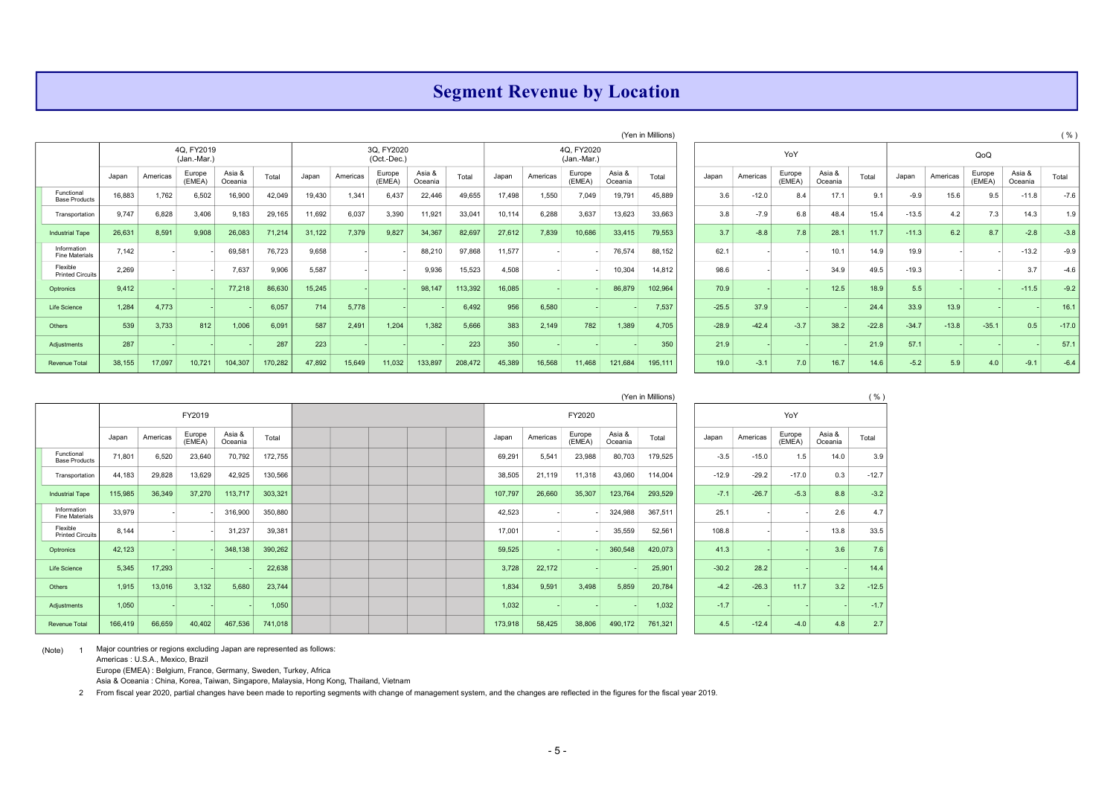### Segment Revenue by Location

|                                      |        |          | (Yen in Millions)<br>4Q, FY2019<br>3Q, FY2020<br>4Q, FY2020 |                   |         |        |          |                  |                   |         |        |          |                  |                   |         |  |         |          |                  |                   |         |         |          |                  |                   | $($ $\%$ |
|--------------------------------------|--------|----------|-------------------------------------------------------------|-------------------|---------|--------|----------|------------------|-------------------|---------|--------|----------|------------------|-------------------|---------|--|---------|----------|------------------|-------------------|---------|---------|----------|------------------|-------------------|----------|
|                                      |        |          | (Jan.-Mar.)                                                 |                   |         |        |          | (Oct.-Dec.)      |                   |         |        |          | (Jan.-Mar.)      |                   |         |  |         |          | YoY              |                   |         |         |          | QoQ              |                   |          |
|                                      | Japan  | Americas | Europe<br>(EMEA)                                            | Asia &<br>Oceania | Total   | Japan  | Americas | Europe<br>(EMEA) | Asia &<br>Oceania | Total   | Japan  | Americas | Europe<br>(EMEA) | Asia &<br>Oceania | Total   |  | Japan   | Americas | Europe<br>(EMEA) | Asia &<br>Oceania | Total   | Japan   | Americas | Europe<br>(EMEA) | Asia &<br>Oceania | Total    |
| Functional<br><b>Base Products</b>   | 16,883 | 1,762    | 6,502                                                       | 16,900            | 42,049  | 19,430 | 1,341    | 6,437            | 22,446            | 49,655  | 17,498 | 1,550    | 7,049            | 19,791            | 45,889  |  | 3.6     | $-12.0$  | 8.4              | 17.1              | 9.1     | $-9.9$  | 15.6     | 9.5              | $-11.8$           | $-7.6$   |
| Transportation                       | 9,747  | 6,828    | 3,406                                                       | 9,183             | 29,165  | 11,692 | 6,037    | 3,390            | 11,921            | 33,041  | 10,114 | 6,288    | 3,637            | 13,623            | 33,663  |  | 3.8     | $-7.9$   | 6.8              | 48.4              | 15.4    | $-13.5$ | 4.2      | 7.3              | 14.3              | 1.9      |
| <b>Industrial Tape</b>               | 26,631 | 8,591    | 9,908                                                       | 26,083            | 71,214  | 31,122 | 7,379    | 9,827            | 34,367            | 82,697  | 27,612 | 7,839    | 10,686           | 33,415            | 79,553  |  | 3.7     | $-8.8$   | 7.8              | 28.1              | 11.7    | $-11.3$ | 6.2      | 8.7              | $-2.8$            | $-3.8$   |
| Information<br><b>Fine Materials</b> | 7.142  |          |                                                             | 69,58'            | 76,723  | 9,658  |          |                  | 88,210            | 97,868  | 11,577 |          |                  | 76,574            | 88,152  |  | 62.1    |          |                  | 10.1              | 14.9    | 19.9    |          |                  | $-13.2$           | $-9.9$   |
| Flexible<br><b>Printed Circuits</b>  | 2,269  |          |                                                             | 7,637             | 9,906   | 5,587  |          |                  | 9,936             | 15,523  | 4,508  |          |                  | 10,304            | 14,812  |  | 98.6    |          |                  | 34.9              | 49.5    | $-19.3$ |          |                  | 3.7               | $-4.6$   |
| Optronics                            | 9,412  |          |                                                             | 77,218            | 86,630  | 15,245 |          |                  | 98,147            | 113,392 | 16,085 |          |                  | 86,879            | 102,964 |  | 70.9    |          |                  | 12.5              | 18.9    | 5.5     |          |                  | $-11.5$           | $-9.2$   |
| Life Science                         | 1,284  | 4,773    |                                                             |                   | 6,057   | 714    | 5,778    |                  |                   | 6,492   | 956    | 6,580    |                  |                   | 7,537   |  | $-25.5$ | 37.9     |                  |                   | 24.4    | 33.9    | 13.9     |                  |                   | 16.1     |
| Others                               | 539    | 3,733    | 812                                                         | 1,006             | 6,091   | 587    | 2,491    | 1,204            | 1,382             | 5,666   | 383    | 2,149    | 782              | 1,389             | 4,705   |  | $-28.9$ | $-42.4$  | $-3.7$           | 38.2              | $-22.8$ | $-34.7$ | $-13.8$  | $-35.1$          | 0.5               | $-17.0$  |
| Adjustments                          | 287    |          |                                                             |                   | 287     | 223    |          |                  |                   | 223     | 350    |          |                  |                   | 350     |  | 21.9    |          |                  |                   | 21.9    | 57.1    |          |                  |                   | 57.1     |
| <b>Revenue Total</b>                 | 38,155 | 17,097   | 10,721                                                      | 104,307           | 170,282 | 47,892 | 15,649   | 11,032           | 133,897           | 208,472 | 45,389 | 16,568   | 11,468           | 121,684           | 195,111 |  | 19.0    | $-3.1$   | 7.0              | 16.7              | 14.6    | $-5.2$  | 5.9      | 4.0              | $-9.1$            | $-6.4$   |

|                   | (Yen in Millions) |         |          |                  |                   |         |         |          |                  |                   | ( %)    |
|-------------------|-------------------|---------|----------|------------------|-------------------|---------|---------|----------|------------------|-------------------|---------|
|                   |                   |         |          | YoY              |                   |         |         |          | QoQ              |                   |         |
| Asia &<br>Oceania | Total             | Japan   | Americas | Europe<br>(EMEA) | Asia &<br>Oceania | Total   | Japan   | Americas | Europe<br>(EMEA) | Asia &<br>Oceania | Total   |
| 19,791            | 45,889            | 3.6     | $-12.0$  | 8.4              | 17.1              | 9.1     | $-9.9$  | 15.6     | 9.5              | $-11.8$           | $-7.6$  |
| 13,623            | 33,663            | 3.8     | $-7.9$   | 6.8              | 48.4              | 15.4    | $-13.5$ | 4.2      | 7.3              | 14.3              | 1.9     |
| 33,415            | 79,553            | 3.7     | $-8.8$   | 7.8              | 28.1              | 11.7    | $-11.3$ | 6.2      | 8.7              | $-2.8$            | $-3.8$  |
| 76,574            | 88,152            | 62.1    |          |                  | 10.1              | 14.9    | 19.9    |          |                  | $-13.2$           | $-9.9$  |
| 10,304            | 14,812            | 98.6    |          |                  | 34.9              | 49.5    | $-19.3$ |          |                  | 3.7               | $-4.6$  |
| 86,879            | 102,964           | 70.9    |          |                  | 12.5              | 18.9    | 5.5     |          |                  | $-11.5$           | $-9.2$  |
|                   | 7,537             | $-25.5$ | 37.9     |                  |                   | 24.4    | 33.9    | 13.9     |                  |                   | 16.1    |
| 1,389             | 4,705             | $-28.9$ | $-42.4$  | $-3.7$           | 38.2              | $-22.8$ | $-34.7$ | $-13.8$  | $-35.1$          | 0.5               | $-17.0$ |
|                   | 350               | 21.9    |          |                  |                   | 21.9    | 57.1    |          |                  |                   | 57.1    |
| 121,684           | 195,111           | 19.0    | $-3.1$   | 7.0              | 16.7              | 14.6    | $-5.2$  | 5.9      | 4.0              | $-9.1$            | $-6.4$  |

|                                     |         |          |                  |                   |         |  |  |         |          |                  |                   | (Yen in Millions) |         |          |                  |                   | ( %)    |
|-------------------------------------|---------|----------|------------------|-------------------|---------|--|--|---------|----------|------------------|-------------------|-------------------|---------|----------|------------------|-------------------|---------|
|                                     |         |          | FY2019           |                   |         |  |  |         |          | FY2020           |                   |                   |         |          | YoY              |                   |         |
|                                     | Japan   | Americas | Europe<br>(EMEA) | Asia &<br>Oceania | Total   |  |  | Japan   | Americas | Europe<br>(EMEA) | Asia &<br>Oceania | Total             | Japan   | Americas | Europe<br>(EMEA) | Asia &<br>Oceania | Total   |
| Functional<br><b>Base Products</b>  | 71,801  | 6,520    | 23,640           | 70,792            | 172,755 |  |  | 69,291  | 5,541    | 23,988           | 80,703            | 179,525           | $-3.5$  | $-15.0$  | 1.5              | 14.0              | 3.9     |
| Transportation                      | 44,183  | 29,828   | 13,629           | 42,925            | 130,566 |  |  | 38,505  | 21,119   | 11,318           | 43,060            | 114,004           | $-12.9$ | $-29.2$  | $-17.0$          | 0.3               | $-12.7$ |
| <b>Industrial Tape</b>              | 115,985 | 36,349   | 37,270           | 113,717           | 303,321 |  |  | 107,797 | 26,660   | 35,307           | 123,764           | 293,529           | $-7.1$  | $-26.7$  | $-5.3$           | 8.8               | $-3.2$  |
| Information<br>Fine Materials       | 33,979  |          |                  | 316,900           | 350,880 |  |  | 42,523  |          |                  | 324,988           | 367,511           | 25.1    |          |                  | 2.6               | 4.7     |
| Flexible<br><b>Printed Circuits</b> | 8,144   |          |                  | 31,237            | 39,381  |  |  | 17,001  |          |                  | 35,559            | 52,561            | 108.8   |          |                  | 13.8              | 33.5    |
| Optronics                           | 42,123  |          |                  | 348,138           | 390,262 |  |  | 59,525  |          |                  | 360,548           | 420,073           | 41.3    |          |                  | 3.6               | 7.6     |
| Life Science                        | 5,345   | 17,293   |                  |                   | 22,638  |  |  | 3,728   | 22,172   |                  |                   | 25,901            | $-30.2$ | 28.2     |                  |                   | 14.4    |
| Others                              | 1,915   | 13,016   | 3,132            | 5,680             | 23,744  |  |  | 1,834   | 9,591    | 3,498            | 5,859             | 20,784            | $-4.2$  | $-26.3$  | 11.7             | 3.2               | $-12.5$ |
| Adjustments                         | 1,050   |          |                  |                   | 1,050   |  |  | 1,032   |          |                  |                   | 1,032             | $-1.7$  |          |                  |                   | $-1.7$  |
| Revenue Total                       | 166,419 | 66,659   | 40,402           | 467,536           | 741,018 |  |  | 173,918 | 58,425   | 38,806           | 490,172           | 761,321           | 4.5     | $-12.4$  | $-4.0$           | 4.8               | 2.7     |

(Note) 1 Major countries or regions excluding Japan are represented as follows:

Americas : U.S.A., Mexico, Brazil

Europe (EMEA) : Belgium, France, Germany, Sweden, Turkey, Africa

Asia & Oceania : China, Korea, Taiwan, Singapore, Malaysia, Hong Kong, Thailand, Vietnam

2 From fiscal year 2020, partial changes have been made to reporting segments with change of management system, and the changes are reflected in the figures for the fiscal year 2019.